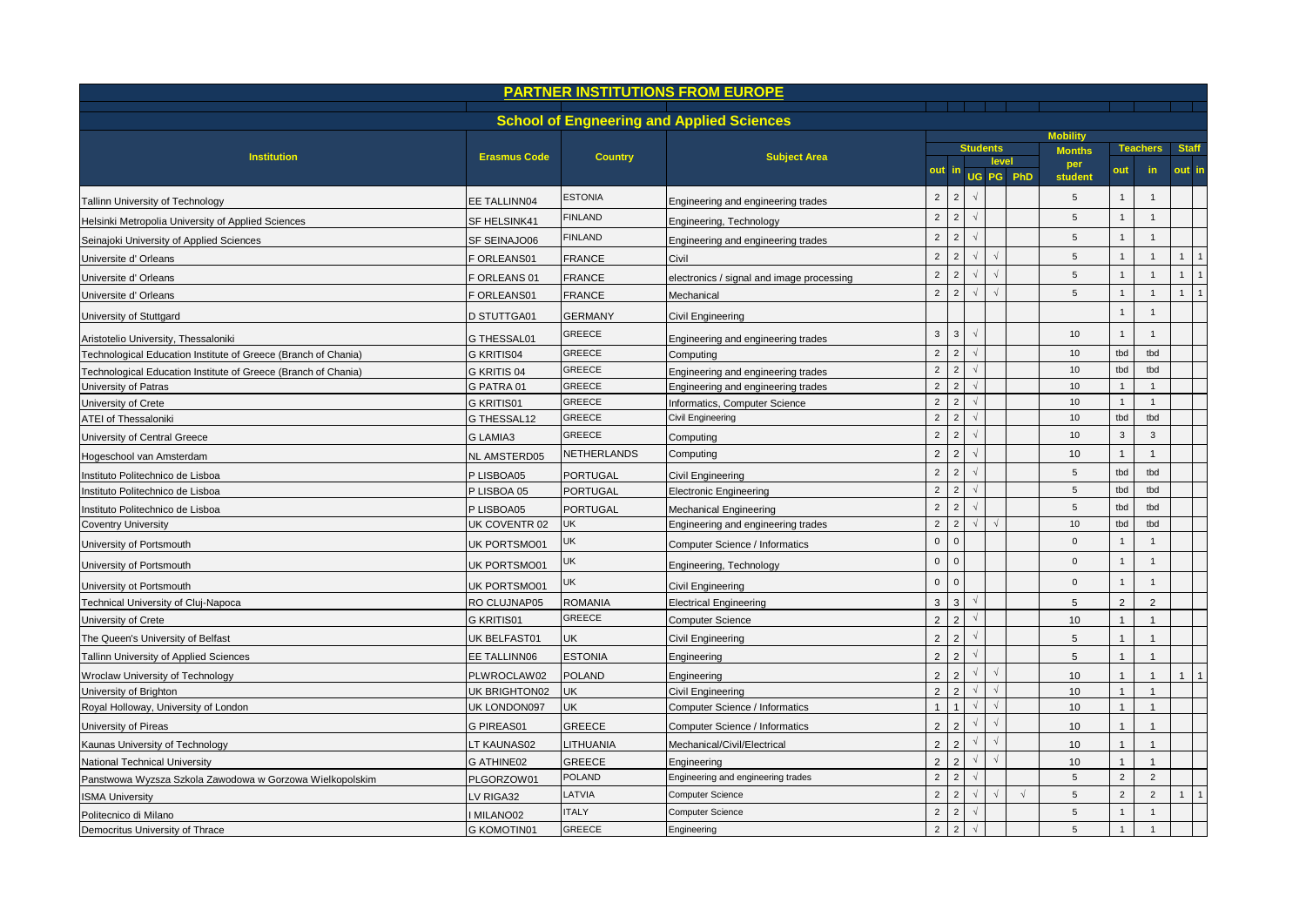|                                                                |                     |                                | <b>PARTNER INSTITUTIONS FROM EUROPE</b>          |                |                |                 |            |            |                 |                |                                 |              |                |
|----------------------------------------------------------------|---------------------|--------------------------------|--------------------------------------------------|----------------|----------------|-----------------|------------|------------|-----------------|----------------|---------------------------------|--------------|----------------|
|                                                                |                     |                                | <b>School of Engneering and Applied Sciences</b> |                |                |                 |            |            |                 |                |                                 |              |                |
|                                                                |                     |                                |                                                  |                |                |                 |            |            | <b>Mobility</b> |                |                                 |              |                |
| <b>Institution</b>                                             | <b>Erasmus Code</b> | <b>Country</b>                 | <b>Subject Area</b>                              |                |                | <b>Students</b> |            | level      | <b>Months</b>   |                | <b>Staff</b><br><b>Teachers</b> |              |                |
|                                                                |                     |                                |                                                  |                |                |                 |            | UG PG PhD  | per<br>student  |                | in                              | out in       |                |
| Tallinn University of Technology                               | EE TALLINN04        | <b>ESTONIA</b>                 | Engineering and engineering trades               | $\overline{2}$ | $\overline{2}$ |                 |            |            | 5               | $\mathbf{1}$   |                                 |              |                |
| Helsinki Metropolia University of Applied Sciences             | SF HELSINK41        | <b>FINLAND</b>                 | Engineering, Technology                          | $\overline{2}$ | $\overline{2}$ |                 |            |            | 5               | $\mathbf{1}$   | $\overline{1}$                  |              |                |
| Seinajoki University of Applied Sciences                       | SF SEINAJO06        | <b>FINLAND</b>                 | Engineering and engineering trades               | $\overline{2}$ | $\overline{2}$ |                 |            |            | 5               | $\mathbf{1}$   | $\mathbf{1}$                    |              |                |
| Universite d' Orleans                                          | F ORLEANS01         | <b>FRANCE</b>                  | Civil                                            | $\overline{2}$ | $\overline{2}$ | $\sqrt{ }$      | $\sqrt{2}$ |            | 5               |                |                                 | $\mathbf{1}$ | $\overline{1}$ |
| Universite d' Orleans                                          | ORLEANS 01          | FRANCE                         | electronics / signal and image processing        | $\overline{2}$ | $\overline{2}$ | $\sqrt{ }$      | $\gamma$   |            | 5               | $\mathbf{1}$   | $\mathbf{1}$                    | $\mathbf{1}$ | $\overline{1}$ |
| Universite d' Orleans                                          | <b>ORLEANS01</b>    | FRANCE                         | Mechanical                                       | $\overline{2}$ | $\overline{c}$ |                 |            |            | 5               | $\mathbf{1}$   | $\mathbf{1}$                    | $\mathbf{1}$ | $\overline{1}$ |
| University of Stuttgard                                        | D STUTTGA01         | <b>GERMANY</b>                 | Civil Engineering                                |                |                |                 |            |            |                 |                |                                 |              |                |
|                                                                |                     | GREECE                         |                                                  | $\mathbf{3}$   | $\mathbf{3}$   | $\sqrt{ }$      |            |            | 10              |                | $\overline{1}$                  |              |                |
| Aristotelio University, Thessaloniki                           | G THESSAL01         | <b>GREECE</b>                  | Engineering and engineering trades               | $\overline{2}$ | $\overline{2}$ |                 |            |            | 10              | tbd            | tbd                             |              |                |
| Technological Education Institute of Greece (Branch of Chania) | G KRITIS04          | <b>GREECE</b>                  | Computing                                        | $\overline{2}$ | $\overline{2}$ | $\sqrt{ }$      |            |            | 10              | tbd            | tbd                             |              |                |
| Technological Education Institute of Greece (Branch of Chania) | G KRITIS 04         |                                | Engineering and engineering trades               | $\overline{2}$ | 2              |                 |            |            |                 | $\mathbf{1}$   |                                 |              |                |
| University of Patras                                           | G PATRA 01          | <b>GREECE</b><br><b>GREECE</b> | Engineering and engineering trades               | $\overline{2}$ | $\overline{2}$ |                 |            |            | 10<br>10        | $\mathbf{1}$   | $\overline{1}$                  |              |                |
| University of Crete                                            | G KRITIS01          |                                | Informatics, Computer Science                    |                |                |                 |            |            |                 |                |                                 |              |                |
| ATEI of Thessaloniki                                           | G THESSAL12         | <b>GREECE</b>                  | Civil Engineering                                | $\overline{2}$ | $\overline{2}$ | $\sqrt{ }$      |            |            | 10              | tbd            | tbd                             |              |                |
| University of Central Greece                                   | <b>GLAMIA3</b>      | GREECE                         | Computing                                        | $\overline{2}$ | $\overline{2}$ |                 |            |            | 10              | 3              | 3                               |              |                |
| Hogeschool van Amsterdam                                       | NL AMSTERD05        | NETHERLANDS                    | Computing                                        | $\overline{2}$ | $\overline{2}$ |                 |            |            | 10              | $\mathbf 1$    | $\mathbf 1$                     |              |                |
| Instituto Politechnico de Lisboa                               | P LISBOA05          | PORTUGAL                       | Civil Engineering                                | $\overline{2}$ | $\overline{2}$ |                 |            |            | 5               | tbd            | tbd                             |              |                |
| Instituto Politechnico de Lisboa                               | P LISBOA 05         | PORTUGAL                       | <b>Electronic Engineering</b>                    | $\overline{2}$ | $\overline{2}$ |                 |            |            | 5               | tbd            | tbd                             |              |                |
| Instituto Politechnico de Lisboa                               | P LISBOA05          | <b>PORTUGAL</b>                | <b>Mechanical Engineering</b>                    | $\overline{2}$ | 2              |                 |            |            | 5               | tbd            | tbd                             |              |                |
| <b>Coventry University</b>                                     | UK COVENTR 02       | UK                             | Engineering and engineering trades               | $\overline{2}$ | $\overline{c}$ | $\sqrt{ }$      |            |            | 10              | tbd            | tbd                             |              |                |
| University of Portsmouth                                       | UK PORTSMO01        | UK                             | Computer Science / Informatics                   | $\mathbf 0$    | $\mathbf{0}$   |                 |            |            | $\mathbf{0}$    | $\mathbf{1}$   | $\overline{1}$                  |              |                |
| University of Portsmouth                                       | UK PORTSMO01        | UK                             | Engineering, Technology                          | $\mathbf 0$    | $\overline{0}$ |                 |            |            | $\overline{0}$  | $\mathbf{1}$   | $\mathbf{1}$                    |              |                |
| University ot Portsmouth                                       | UK PORTSMO01        | UK                             | Civil Engineering                                | $\mathbf{0}$   | $\Omega$       |                 |            |            | $\Omega$        | $\mathbf{1}$   | $\overline{1}$                  |              |                |
| Technical University of Cluj-Napoca                            | RO CLUJNAP05        | ROMANIA                        | <b>Electrical Engineering</b>                    | 3              | 3              |                 |            |            | 5               | $\overline{2}$ | $\overline{2}$                  |              |                |
| University of Crete                                            | G KRITIS01          | <b>GREECE</b>                  | <b>Computer Science</b>                          | 2              | $\overline{2}$ | $\sqrt{ }$      |            |            | 10              |                | $\overline{1}$                  |              |                |
| The Queen's University of Belfast                              | UK BELFAST01        | UK                             | Civil Engineering                                | $\overline{2}$ | $\mathcal{P}$  |                 |            |            | 5               | $\mathbf{1}$   | $\mathbf 1$                     |              |                |
| Tallinn University of Applied Sciences                         | EE TALLINN06        | <b>ESTONIA</b>                 | Engineering                                      | $\overline{2}$ | $\overline{2}$ | $\sqrt{ }$      |            |            | 5               |                | $\overline{1}$                  |              |                |
| Wroclaw University of Technology                               | PLWROCLAW02         | <b>POLAND</b>                  | Engineering                                      | $\overline{2}$ | $\mathcal{D}$  |                 | $\sqrt{2}$ |            | 10              |                | $\overline{1}$                  | $\mathbf{1}$ |                |
| University of Brighton                                         | UK BRIGHTON02       | UK                             | <b>Civil Engineering</b>                         | $\overline{2}$ | $\mathcal{P}$  | $\sqrt{ }$      | $\Delta$   |            | 10              | $\mathbf{1}$   | $\mathbf{1}$                    |              |                |
| Royal Holloway, University of London                           | UK LONDON097        | UK                             | Computer Science / Informatics                   | $\mathbf{1}$   | $\overline{1}$ | $\sqrt{ }$      | $\Delta$   |            | 10              | $\mathbf{1}$   | $\overline{1}$                  |              |                |
| University of Pireas                                           | G PIREAS01          | GREECE                         | Computer Science / Informatics                   | $\overline{2}$ | $\mathcal{D}$  | V               | $\sqrt{2}$ |            | 10              |                | $\overline{1}$                  |              |                |
| Kaunas University of Technology                                | LT KAUNAS02         | <b>ITHUANIA</b>                | Mechanical/Civil/Electrical                      | $\overline{2}$ | $\overline{2}$ | $\sqrt{}$       | $\lambda$  |            | 10              |                | $\mathbf 1$                     |              |                |
| National Technical University                                  | G ATHINE02          | GREECE                         | Engineering                                      | $\overline{2}$ |                |                 | $\sqrt{2}$ |            | 10              |                |                                 |              |                |
| Panstwowa Wyzsza Szkola Zawodowa w Gorzowa Wielkopolskim       | PLGORZOW01          | POLAND                         | Engineering and engineering trades               | $\overline{2}$ | $\overline{2}$ |                 |            |            | 5               | $\overline{2}$ | 2                               |              |                |
| <b>ISMA University</b>                                         | LV RIGA32           | LATVIA                         | <b>Computer Science</b>                          | $\overline{2}$ | $\overline{2}$ | $\sqrt{ }$      | N          | $\sqrt{ }$ | 5               | $\overline{2}$ | $\overline{2}$                  | $\mathbf{1}$ | $\overline{1}$ |
| Politecnico di Milano                                          | MILANO02            | <b>ITALY</b>                   | <b>Computer Science</b>                          | $\overline{2}$ | $\overline{c}$ |                 |            |            | 5               | $\overline{1}$ | $\overline{1}$                  |              |                |
| Democritus University of Thrace                                | <b>G KOMOTIN01</b>  | <b>GREECE</b>                  | Engineering                                      | $\overline{2}$ | $\overline{2}$ |                 |            |            | 5               |                |                                 |              |                |
|                                                                |                     |                                |                                                  |                |                |                 |            |            |                 |                |                                 |              |                |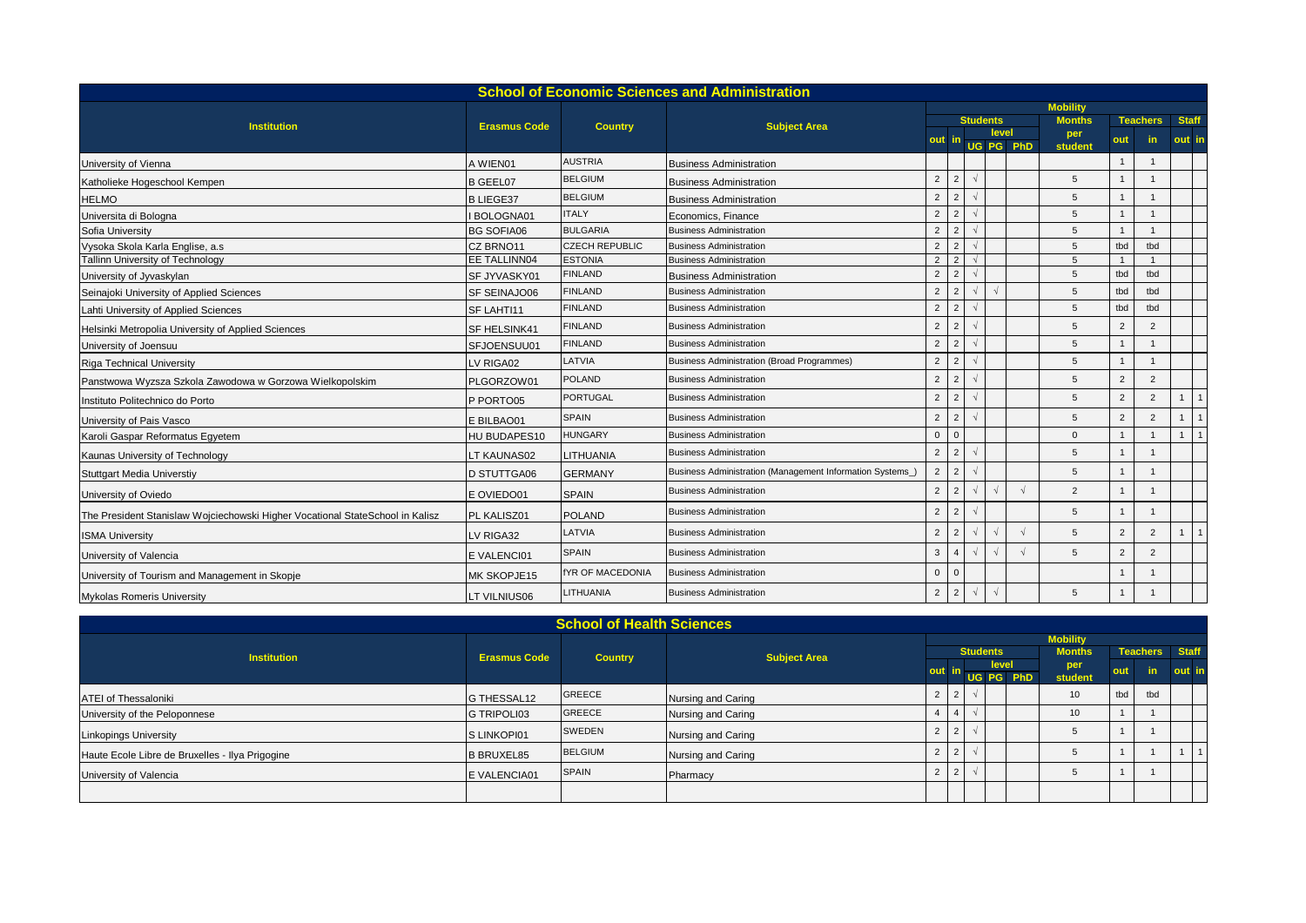|                                                                               |                     |                         | <b>School of Economic Sciences and Administration</b>    |                |                 |            |                    |  |                                                                                                                                                                                                                                                                                                                                                                                                                                                                     |  |  |  |                |  |  |
|-------------------------------------------------------------------------------|---------------------|-------------------------|----------------------------------------------------------|----------------|-----------------|------------|--------------------|--|---------------------------------------------------------------------------------------------------------------------------------------------------------------------------------------------------------------------------------------------------------------------------------------------------------------------------------------------------------------------------------------------------------------------------------------------------------------------|--|--|--|----------------|--|--|
|                                                                               |                     |                         |                                                          |                |                 |            |                    |  | <b>Mobility</b><br><b>Months</b><br><b>Staff</b><br><b>Teachers</b><br>per<br>in.<br>out in<br>out<br>student<br>5<br>5<br>5<br>5<br>5<br>tbd<br>tbd<br>5<br>5<br>tbd<br>tbd<br>5<br>tbd<br>tbd<br>5<br>tbd<br>tbd<br>$\overline{2}$<br>5<br>$\overline{2}$<br>5<br>5<br>2<br>5<br>$\overline{2}$<br>2<br>2<br>5<br>$\overline{2}$<br>$\overline{2}$<br>5<br>$\Omega$<br>5<br>5<br>$\overline{2}$<br>5<br>$\overline{2}$<br>5<br>2<br>$\overline{2}$<br>5<br>2<br>5 |  |  |  |                |  |  |
| <b>Institution</b>                                                            | <b>Erasmus Code</b> | <b>Country</b>          | <b>Subject Area</b>                                      |                | <b>Students</b> |            |                    |  |                                                                                                                                                                                                                                                                                                                                                                                                                                                                     |  |  |  |                |  |  |
|                                                                               |                     |                         |                                                          | -in            |                 |            | level<br>UG PG PhD |  |                                                                                                                                                                                                                                                                                                                                                                                                                                                                     |  |  |  |                |  |  |
| University of Vienna                                                          | A WIEN01            | <b>AUSTRIA</b>          | <b>Business Administration</b>                           |                |                 |            |                    |  |                                                                                                                                                                                                                                                                                                                                                                                                                                                                     |  |  |  |                |  |  |
| Katholieke Hogeschool Kempen                                                  | <b>B GEEL07</b>     | <b>BELGIUM</b>          | <b>Business Administration</b>                           | $\overline{2}$ | 2               |            |                    |  |                                                                                                                                                                                                                                                                                                                                                                                                                                                                     |  |  |  |                |  |  |
| <b>HELMO</b>                                                                  | <b>B LIEGE37</b>    | <b>BELGIUM</b>          | <b>Business Administration</b>                           | $\overline{2}$ | $\overline{2}$  |            |                    |  |                                                                                                                                                                                                                                                                                                                                                                                                                                                                     |  |  |  |                |  |  |
| Universita di Bologna                                                         | BOLOGNA01           | <b>ITALY</b>            | Economics, Finance                                       | $\overline{2}$ | $\overline{2}$  |            |                    |  |                                                                                                                                                                                                                                                                                                                                                                                                                                                                     |  |  |  |                |  |  |
| Sofia University                                                              | <b>BG SOFIA06</b>   | <b>BULGARIA</b>         | <b>Business Administration</b>                           | $\overline{2}$ | 2               |            |                    |  |                                                                                                                                                                                                                                                                                                                                                                                                                                                                     |  |  |  |                |  |  |
| Vysoka Skola Karla Englise, a.s                                               | CZ BRNO11           | <b>CZECH REPUBLIC</b>   | <b>Business Administration</b>                           | 2              | $\mathcal{P}$   |            |                    |  |                                                                                                                                                                                                                                                                                                                                                                                                                                                                     |  |  |  |                |  |  |
| Tallinn University of Technology                                              | EE TALLINN04        | <b>ESTONIA</b>          | <b>Business Administration</b>                           | $\overline{2}$ | $\overline{2}$  |            |                    |  |                                                                                                                                                                                                                                                                                                                                                                                                                                                                     |  |  |  |                |  |  |
| University of Jyvaskylan                                                      | SF JYVASKY01        | <b>FINLAND</b>          | <b>Business Administration</b>                           | $\overline{2}$ | $\overline{2}$  |            |                    |  |                                                                                                                                                                                                                                                                                                                                                                                                                                                                     |  |  |  |                |  |  |
| Seinajoki University of Applied Sciences                                      | <b>SF SEINAJO06</b> | <b>FINLAND</b>          | <b>Business Administration</b>                           | $\overline{2}$ | $\overline{2}$  |            |                    |  |                                                                                                                                                                                                                                                                                                                                                                                                                                                                     |  |  |  |                |  |  |
| Lahti University of Applied Sciences                                          | SF LAHTI11          | <b>FINLAND</b>          | <b>Business Administration</b>                           | 2              | $\overline{2}$  |            |                    |  |                                                                                                                                                                                                                                                                                                                                                                                                                                                                     |  |  |  |                |  |  |
| Helsinki Metropolia University of Applied Sciences                            | SF HELSINK41        | <b>FINLAND</b>          | <b>Business Administration</b>                           | $\overline{2}$ | $\overline{2}$  |            |                    |  |                                                                                                                                                                                                                                                                                                                                                                                                                                                                     |  |  |  |                |  |  |
| University of Joensuu                                                         | SFJOENSUU01         | <b>FINLAND</b>          | <b>Business Administration</b>                           | $\overline{2}$ | $\overline{2}$  |            |                    |  |                                                                                                                                                                                                                                                                                                                                                                                                                                                                     |  |  |  |                |  |  |
| <b>Riga Technical University</b>                                              | LV RIGA02           | LATVIA                  | <b>Business Administration (Broad Programmes)</b>        | 2              | $\overline{2}$  |            |                    |  |                                                                                                                                                                                                                                                                                                                                                                                                                                                                     |  |  |  |                |  |  |
| Panstwowa Wyzsza Szkola Zawodowa w Gorzowa Wielkopolskim                      | PLGORZOW01          | <b>POLAND</b>           | <b>Business Administration</b>                           | $\overline{2}$ | $\overline{2}$  |            |                    |  |                                                                                                                                                                                                                                                                                                                                                                                                                                                                     |  |  |  |                |  |  |
| Instituto Politechnico do Porto                                               | P PORTO05           | <b>PORTUGAL</b>         | <b>Business Administration</b>                           | $\overline{2}$ | $\overline{2}$  |            |                    |  |                                                                                                                                                                                                                                                                                                                                                                                                                                                                     |  |  |  | $\overline{1}$ |  |  |
| University of Pais Vasco                                                      | E BILBAO01          | <b>SPAIN</b>            | <b>Business Administration</b>                           | $\overline{2}$ | $\overline{2}$  |            |                    |  |                                                                                                                                                                                                                                                                                                                                                                                                                                                                     |  |  |  |                |  |  |
| Karoli Gaspar Reformatus Egyetem                                              | HU BUDAPES10        | <b>HUNGARY</b>          | <b>Business Administration</b>                           | $\Omega$       | $\Omega$        |            |                    |  |                                                                                                                                                                                                                                                                                                                                                                                                                                                                     |  |  |  | $\overline{1}$ |  |  |
| Kaunas University of Technology                                               | LT KAUNAS02         | LITHUANIA               | <b>Business Administration</b>                           | $\overline{2}$ | $\overline{2}$  |            |                    |  |                                                                                                                                                                                                                                                                                                                                                                                                                                                                     |  |  |  |                |  |  |
| <b>Stuttgart Media Universtiy</b>                                             | D STUTTGA06         | <b>GERMANY</b>          | Business Administration (Management Information Systems) | $\overline{2}$ | 2               |            |                    |  |                                                                                                                                                                                                                                                                                                                                                                                                                                                                     |  |  |  |                |  |  |
| University of Oviedo                                                          | E OVIEDO01          | <b>SPAIN</b>            | <b>Business Administration</b>                           | $\overline{2}$ | $\overline{2}$  |            |                    |  |                                                                                                                                                                                                                                                                                                                                                                                                                                                                     |  |  |  |                |  |  |
| The President Stanislaw Wojciechowski Higher Vocational StateSchool in Kalisz | PL KALISZ01         | POLAND                  | <b>Business Administration</b>                           | 2              | $\overline{2}$  |            |                    |  |                                                                                                                                                                                                                                                                                                                                                                                                                                                                     |  |  |  |                |  |  |
| <b>ISMA University</b>                                                        | LV RIGA32           | LATVIA                  | <b>Business Administration</b>                           | $\overline{2}$ | $\overline{2}$  |            |                    |  |                                                                                                                                                                                                                                                                                                                                                                                                                                                                     |  |  |  |                |  |  |
| University of Valencia                                                        | E VALENCI01         | <b>SPAIN</b>            | <b>Business Administration</b>                           | $\mathbf{3}$   | $\overline{4}$  |            |                    |  |                                                                                                                                                                                                                                                                                                                                                                                                                                                                     |  |  |  |                |  |  |
| University of Tourism and Management in Skopje                                | MK SKOPJE15         | <b>fYR OF MACEDONIA</b> | <b>Business Administration</b>                           | $\mathbf{0}$   |                 |            |                    |  |                                                                                                                                                                                                                                                                                                                                                                                                                                                                     |  |  |  |                |  |  |
| <b>Mykolas Romeris University</b>                                             | LT VILNIUS06        | <b>LITHUANIA</b>        | <b>Business Administration</b>                           | $\overline{2}$ | $\overline{2}$  | $\sqrt{ }$ | $\sqrt{2}$         |  |                                                                                                                                                                                                                                                                                                                                                                                                                                                                     |  |  |  |                |  |  |

|                                                 |                                       | <b>School of Health Sciences</b> |                     |                |                    |                 |                 |     |               |                       |        |  |  |  |  |  |
|-------------------------------------------------|---------------------------------------|----------------------------------|---------------------|----------------|--------------------|-----------------|-----------------|-----|---------------|-----------------------|--------|--|--|--|--|--|
|                                                 |                                       |                                  |                     |                |                    |                 | <b>Mobility</b> |     |               |                       |        |  |  |  |  |  |
| <b>Institution</b>                              | <b>Erasmus Code</b><br><b>Country</b> |                                  | <b>Subject Area</b> |                |                    | <b>Students</b> |                 |     | <b>Months</b> | <b>Teachers</b> Staff |        |  |  |  |  |  |
|                                                 |                                       |                                  |                     | out in         | level<br>UG PG PhD |                 |                 | per | out           | in.                   | out in |  |  |  |  |  |
|                                                 |                                       |                                  |                     |                |                    |                 |                 |     | student       |                       |        |  |  |  |  |  |
| <b>ATEI of Thessaloniki</b>                     | G THESSAL12                           | <b>GREECE</b>                    | Nursing and Caring  | $\overline{2}$ | $\overline{2}$     |                 |                 |     | 10            | tbd                   | tbd    |  |  |  |  |  |
| University of the Peloponnese                   | <b>G TRIPOLI03</b>                    | <b>GREECE</b>                    | Nursing and Caring  |                | -4                 |                 |                 |     | 10            |                       |        |  |  |  |  |  |
| <b>Linkopings University</b>                    | S LINKOPI01                           | SWEDEN                           | Nursing and Caring  | $\overline{2}$ | $\overline{2}$     |                 |                 |     |               |                       |        |  |  |  |  |  |
| Haute Ecole Libre de Bruxelles - Ilya Prigogine | <b>B BRUXEL85</b>                     | <b>BELGIUM</b>                   | Nursing and Caring  | $\overline{2}$ |                    |                 |                 |     |               |                       |        |  |  |  |  |  |
| University of Valencia                          | <b>EVALENCIA01</b>                    | <b>SPAIN</b>                     | Pharmacy            |                |                    |                 |                 |     |               |                       |        |  |  |  |  |  |
|                                                 |                                       |                                  |                     |                |                    |                 |                 |     |               |                       |        |  |  |  |  |  |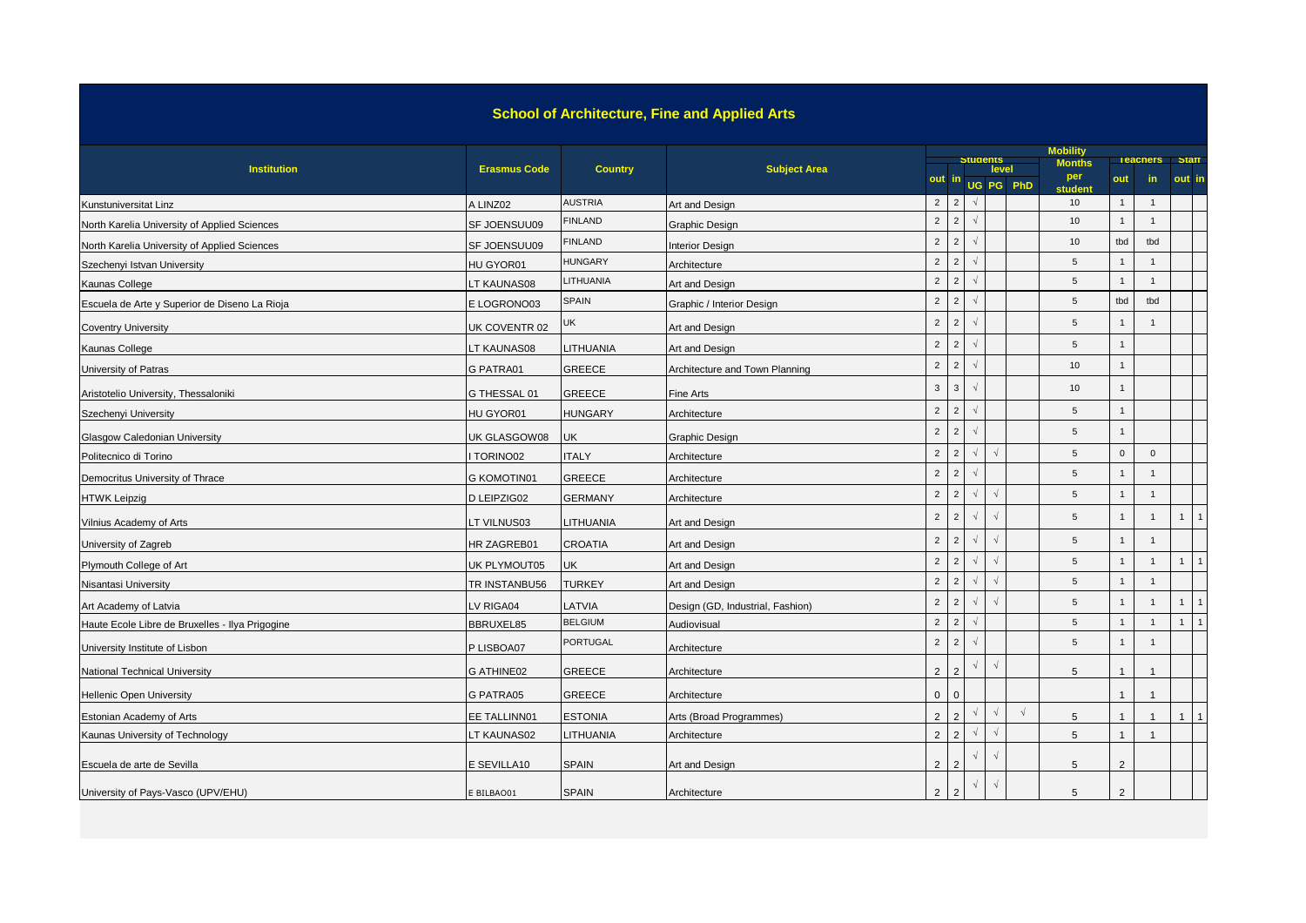## **School of Architecture, Fine and Applied Arts**

|                                                 |                     |                 |                                  |                | <b>Mobility</b><br>Students<br><b>Teachers</b> Staff |            |            |                    |                                 |                |                |                |                |  |
|-------------------------------------------------|---------------------|-----------------|----------------------------------|----------------|------------------------------------------------------|------------|------------|--------------------|---------------------------------|----------------|----------------|----------------|----------------|--|
| <b>Institution</b>                              | <b>Erasmus Code</b> | <b>Country</b>  | <b>Subject Area</b>              |                | out in                                               |            |            | level<br>UG PG PhD | <b>Months</b><br>per<br>student | out            | in.            |                | out in         |  |
| Kunstuniversitat Linz                           | A LINZ02            | <b>AUSTRIA</b>  | Art and Design                   | $\overline{2}$ | $\overline{2}$                                       |            |            |                    | 10                              | $\overline{1}$ | $\mathbf{1}$   |                |                |  |
| North Karelia University of Applied Sciences    | SF JOENSUU09        | <b>FINLAND</b>  | Graphic Design                   | $\overline{2}$ | 2                                                    |            |            |                    | 10                              |                | $\mathbf{1}$   |                |                |  |
| North Karelia University of Applied Sciences    | SF JOENSUU09        | <b>FINLAND</b>  | <b>Interior Design</b>           | $\overline{2}$ | 2                                                    | $\sqrt{2}$ |            |                    | 10                              | tbd            | tbd            |                |                |  |
| Szechenyi Istvan University                     | HU GYOR01           | HUNGARY         | Architecture                     | $\overline{2}$ | $\overline{2}$                                       |            |            |                    | 5                               |                | $\mathbf{1}$   |                |                |  |
| Kaunas College                                  | LT KAUNAS08         | LITHUANIA       | Art and Design                   | $\overline{2}$ | $\overline{2}$                                       | $\sqrt{ }$ |            |                    | 5                               | $\overline{1}$ | $\mathbf{1}$   |                |                |  |
| Escuela de Arte y Superior de Diseno La Rioja   | E LOGRONO03         | <b>SPAIN</b>    | Graphic / Interior Design        | $\overline{2}$ | $\overline{2}$                                       |            |            |                    | 5                               | tbd            | tbd            |                |                |  |
| <b>Coventry University</b>                      | UK COVENTR 02       | JK              | Art and Design                   | $\overline{2}$ | $\overline{2}$                                       |            |            |                    | 5                               | $\mathbf 1$    | $\mathbf{1}$   |                |                |  |
| Kaunas College                                  | LT KAUNAS08         | <b>ITHUANIA</b> | Art and Design                   | $\overline{2}$ | 2                                                    | $\sqrt{2}$ |            |                    | 5                               | $\overline{1}$ |                |                |                |  |
| University of Patras                            | G PATRA01           | <b>GREECE</b>   | Architecture and Town Planning   | $\overline{2}$ | 2                                                    |            |            |                    | 10                              | $\overline{1}$ |                |                |                |  |
| Aristotelio University, Thessaloniki            | G THESSAL 01        | <b>GREECE</b>   | <b>Fine Arts</b>                 | 3              | $\mathbf{3}$                                         | $\sqrt{2}$ |            |                    | 10                              | $\overline{1}$ |                |                |                |  |
| Szechenyi University                            | HU GYOR01           | <b>HUNGARY</b>  | Architecture                     | $\overline{2}$ | $\overline{2}$                                       |            |            |                    | 5                               | $\overline{1}$ |                |                |                |  |
| Glasgow Caledonian University                   | UK GLASGOW08        | UK              | <b>Graphic Design</b>            | $\overline{2}$ | 2                                                    | $\sqrt{2}$ |            |                    | 5                               | $\overline{1}$ |                |                |                |  |
| Politecnico di Torino                           | TORINO02            | <b>ITALY</b>    | Architecture                     | $\overline{2}$ | $\overline{2}$                                       |            |            |                    | 5                               | $\mathbf 0$    | $\mathbf 0$    |                |                |  |
| Democritus University of Thrace                 | <b>G KOMOTIN01</b>  | <b>GREECE</b>   | Architecture                     | $\overline{2}$ | $\overline{2}$                                       | $\sqrt{2}$ |            |                    | 5                               |                | 1              |                |                |  |
| <b>HTWK Leipzig</b>                             | D LEIPZIG02         | <b>GERMANY</b>  | Architecture                     | $\overline{2}$ | $\overline{2}$                                       | $\sqrt{2}$ | $\sqrt{ }$ |                    | 5                               | $\overline{1}$ | $\mathbf{1}$   |                |                |  |
| Vilnius Academy of Arts                         | LT VILNUS03         | <b>ITHUANIA</b> | Art and Design                   | $\overline{2}$ | $\overline{2}$                                       |            | $\sqrt{ }$ |                    | 5                               | $\overline{1}$ | $\mathbf{1}$   | $\mathbf{1}$   |                |  |
| University of Zagreb                            | HR ZAGREB01         | <b>CROATIA</b>  | Art and Design                   | $\overline{2}$ | 2                                                    | $\sqrt{ }$ |            |                    | 5                               |                | $\mathbf{1}$   |                |                |  |
| Plymouth College of Art                         | UK PLYMOUT05        | UK              | Art and Design                   | $\overline{2}$ | $\overline{2}$                                       | $\sqrt{ }$ | $\sqrt{ }$ |                    | 5                               | $\overline{1}$ | $\mathbf{1}$   | 1 <sup>1</sup> | $\overline{1}$ |  |
| Nisantasi University                            | TR INSTANBU56       | <b>TURKEY</b>   | Art and Design                   | $\overline{2}$ | $\overline{2}$                                       | $\sqrt{2}$ |            |                    | 5                               | $\overline{1}$ | $\mathbf{1}$   |                |                |  |
| Art Academy of Latvia                           | LV RIGA04           | LATVIA          | Design (GD, Industrial, Fashion) | $\overline{2}$ | 2                                                    |            |            |                    | 5                               |                | $\mathbf{1}$   | 1              |                |  |
| Haute Ecole Libre de Bruxelles - Ilya Prigogine | BBRUXEL85           | <b>BELGIUM</b>  | Audiovisual                      | $\overline{2}$ | $\overline{2}$                                       |            |            |                    | 5                               | $\overline{1}$ | $\mathbf{1}$   | 1              | $\overline{1}$ |  |
| University Institute of Lisbon                  | P LISBOA07          | <b>PORTUGAL</b> | Architecture                     | $\overline{2}$ | $\overline{2}$                                       | $\sqrt{2}$ |            |                    | 5                               | $\mathbf{1}$   | $\mathbf{1}$   |                |                |  |
| National Technical University                   | G ATHINE02          | <b>GREECE</b>   | Architecture                     | $\overline{2}$ | 2                                                    |            | $\sqrt{ }$ |                    | 5                               |                | $\overline{1}$ |                |                |  |
| <b>Hellenic Open University</b>                 | G PATRA05           | <b>GREECE</b>   | Architecture                     | $\mathbf{0}$   | $\overline{0}$                                       |            |            |                    |                                 |                | $\overline{1}$ |                |                |  |
| <b>Estonian Academy of Arts</b>                 | EE TALLINN01        | <b>ESTONIA</b>  | Arts (Broad Programmes)          | $\overline{2}$ | $\mathcal{P}$                                        | $\sqrt{2}$ | $\sqrt{ }$ | $\sqrt{ }$         | 5                               |                | $\overline{1}$ | 1              | $\overline{1}$ |  |
| Kaunas University of Technology                 | LT KAUNAS02         | LITHUANIA       | Architecture                     | $\overline{2}$ | 2                                                    | $\sqrt{2}$ | $\sqrt{ }$ |                    | 5                               |                | $\mathbf{1}$   |                |                |  |
| Escuela de arte de Sevilla                      | E SEVILLA10         | <b>SPAIN</b>    | Art and Design                   | $\overline{2}$ | 2                                                    |            |            |                    | 5                               | $\overline{2}$ |                |                |                |  |
| University of Pays-Vasco (UPV/EHU)              | E BILBAO01          | <b>SPAIN</b>    | Architecture                     | $\overline{2}$ | $\overline{2}$                                       |            | $\sqrt{ }$ |                    | 5                               | 2              |                |                |                |  |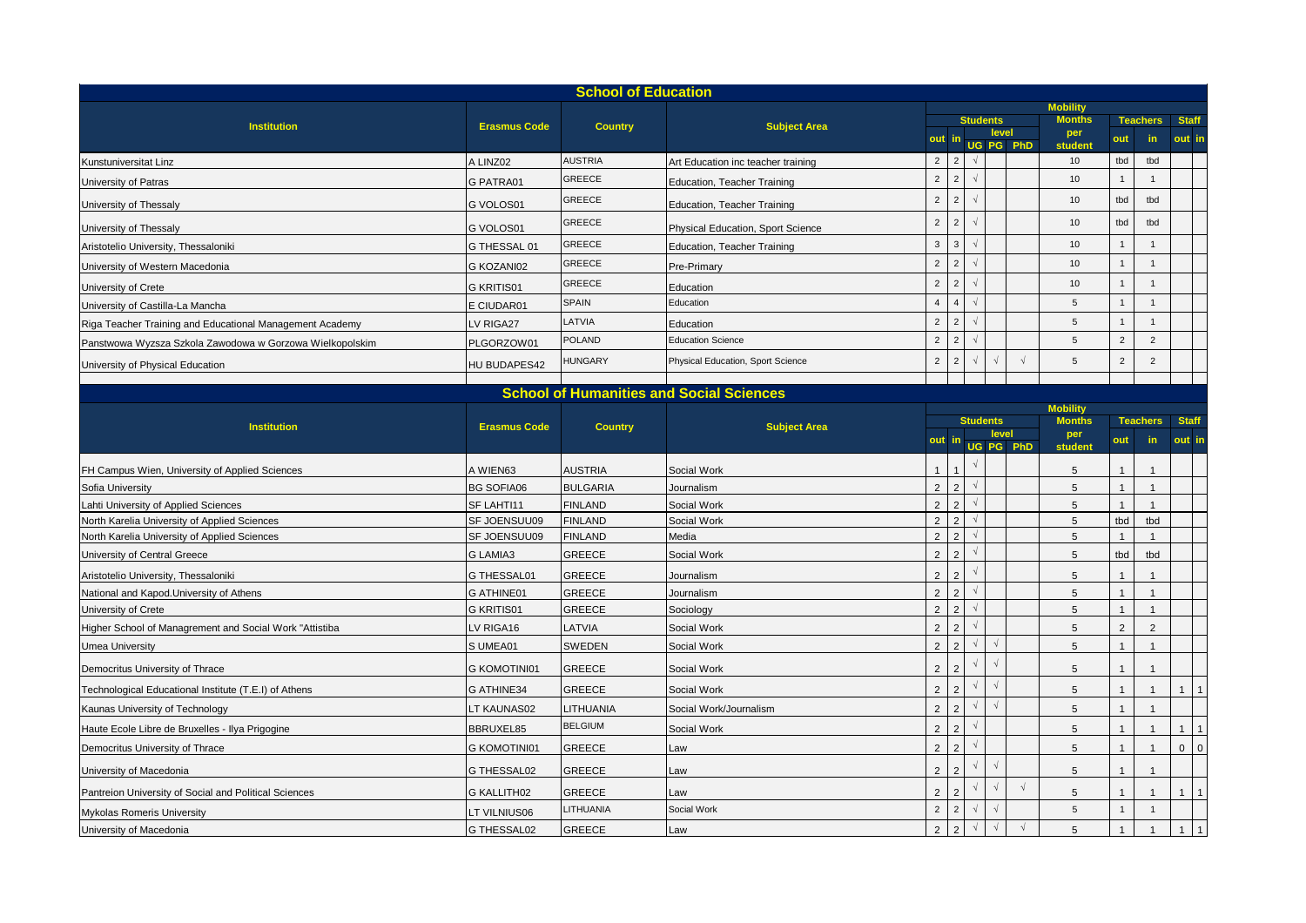|                                                                                                                                                           |                     | <b>School of Education</b> |                                    |                     |                |            |                 |            |                      |                |                 |              |                |
|-----------------------------------------------------------------------------------------------------------------------------------------------------------|---------------------|----------------------------|------------------------------------|---------------------|----------------|------------|-----------------|------------|----------------------|----------------|-----------------|--------------|----------------|
|                                                                                                                                                           |                     |                            |                                    |                     |                |            |                 |            | <b>Mobility</b>      |                |                 |              |                |
| <b>Institution</b>                                                                                                                                        | <b>Erasmus Code</b> | <b>Country</b>             | <b>Subject Area</b>                |                     |                |            | <b>Students</b> | level      | <b>Months</b><br>per |                | <b>Teachers</b> | <b>Staff</b> |                |
|                                                                                                                                                           |                     |                            |                                    | out in<br>UG PG PhD |                |            |                 |            | student              | out            | in.             | out in       |                |
| Kunstuniversitat Linz                                                                                                                                     | A LINZ02            | <b>AUSTRIA</b>             | Art Education inc teacher training | $\overline{2}$      | $\overline{2}$ | $\sqrt{ }$ |                 |            | 10                   | tbd            | tbd             |              |                |
| University of Patras                                                                                                                                      | <b>G PATRA01</b>    | GREECE                     | Education, Teacher Training        | $\overline{2}$      | $\overline{2}$ | $\sqrt{ }$ |                 |            | 10                   | $\overline{1}$ | $\mathbf{1}$    |              |                |
| University of Thessaly                                                                                                                                    | G VOLOS01           | GREECE                     | Education, Teacher Training        | $\overline{2}$      | $\overline{c}$ | $\sqrt{ }$ |                 |            | 10                   | tbd            | tbd             |              |                |
| University of Thessaly                                                                                                                                    | G VOLOS01           | GREECE                     | Physical Education, Sport Science  | $\overline{2}$      | $\overline{2}$ | $\sqrt{ }$ |                 |            | 10                   | tbd            | tbd             |              |                |
| Aristotelio University, Thessaloniki                                                                                                                      | G THESSAL 01        | GREECE                     | Education, Teacher Training        | $\mathbf{3}$        | $\mathbf{3}$   | $\sqrt{ }$ |                 |            | 10                   | -1             | $\mathbf{1}$    |              |                |
| University of Western Macedonia                                                                                                                           | G KOZANI02          | GREECE                     | Pre-Primary                        | $\overline{2}$      | $\overline{2}$ |            |                 |            | 10                   |                | $\mathbf{1}$    |              |                |
| University of Crete                                                                                                                                       | <b>G KRITIS01</b>   | <b>GREECE</b>              | Education                          | $\overline{2}$      | $\overline{c}$ | $\sqrt{ }$ |                 |            | 10                   |                | $\overline{1}$  |              |                |
| University of Castilla-La Mancha                                                                                                                          | E CIUDAR01          | <b>SPAIN</b>               | Education                          | $\overline{4}$      | $\overline{4}$ | $\sqrt{ }$ |                 |            | 5                    |                | $\mathbf{1}$    |              |                |
| Riga Teacher Training and Educational Management Academy                                                                                                  | LV RIGA27           | LATVIA                     | Education                          | $\overline{2}$      | $\overline{2}$ | $\sqrt{ }$ |                 |            | 5                    |                | $\mathbf{1}$    |              |                |
| Panstwowa Wyzsza Szkola Zawodowa w Gorzowa Wielkopolskim                                                                                                  | PLGORZOW01          | POLAND                     | <b>Education Science</b>           | $\overline{2}$      | $\overline{2}$ | $\sqrt{ }$ |                 |            | 5                    | $\sqrt{2}$     | $\overline{2}$  |              |                |
| University of Physical Education                                                                                                                          | <b>HU BUDAPES42</b> | <b>HUNGARY</b>             | Physical Education, Sport Science  | $\overline{2}$      | $\overline{c}$ | $\sqrt{2}$ |                 |            | 5                    | $\overline{2}$ | $\overline{2}$  |              |                |
|                                                                                                                                                           |                     |                            |                                    |                     |                |            |                 |            |                      |                |                 |              |                |
| <b>School of Humanities and Social Sciences</b><br><b>Mobility</b><br><b>Students</b><br><b>Institution</b><br><b>Erasmus Code</b><br><b>Subject Area</b> |                     |                            |                                    |                     |                |            |                 |            |                      |                |                 |              |                |
|                                                                                                                                                           |                     |                            |                                    |                     |                |            |                 |            | <b>Months</b>        |                | <b>Teachers</b> | <b>Staff</b> |                |
|                                                                                                                                                           |                     | <b>Country</b>             |                                    |                     | out            |            |                 | level      | per                  | out            | in              | out in       |                |
|                                                                                                                                                           |                     |                            |                                    |                     |                |            |                 | UG PG PhD  | student              |                |                 |              |                |
| FH Campus Wien, University of Applied Sciences                                                                                                            | A WIEN63            | <b>AUSTRIA</b>             | Social Work                        | $\mathbf{1}$        |                |            |                 |            | 5                    |                | $\overline{1}$  |              |                |
| Sofia University                                                                                                                                          | <b>BG SOFIA06</b>   | <b>BULGARIA</b>            | Journalism                         | 2                   | $\overline{2}$ |            |                 |            | 5                    |                | $\overline{1}$  |              |                |
| ahti University of Applied Sciences                                                                                                                       | SF LAHTI11          | <b>FINLAND</b>             | Social Work                        | $\overline{2}$      | $\overline{2}$ | $\sqrt{ }$ |                 |            | 5                    | $\mathbf{1}$   | $\overline{1}$  |              |                |
| North Karelia University of Applied Sciences                                                                                                              | SF JOENSUU09        | <b>FINLAND</b>             | Social Work                        | $\overline{2}$      | $\overline{2}$ | $\sqrt{ }$ |                 |            | 5                    | tbd            | tbd             |              |                |
| North Karelia University of Applied Sciences                                                                                                              | SF JOENSUU09        | <b>FINLAND</b>             | Media                              | $\overline{2}$      | $\overline{2}$ |            |                 |            | 5                    | $\mathbf{1}$   | $\mathbf{1}$    |              |                |
| University of Central Greece                                                                                                                              | <b>G LAMIA3</b>     | <b>GREECE</b>              | Social Work                        | $\overline{2}$      | $\overline{c}$ |            |                 |            | 5                    | tbd            | tbd             |              |                |
| Aristotelio University, Thessaloniki                                                                                                                      | G THESSAL01         | GREECE                     | Journalism                         | $\overline{2}$      | $\overline{2}$ |            |                 |            | 5                    |                | $\overline{1}$  |              |                |
| National and Kapod. University of Athens                                                                                                                  | G ATHINE01          | GREECE                     | Journalism                         | $\overline{2}$      | $\overline{2}$ |            |                 |            | 5                    |                | $\mathbf{1}$    |              |                |
| University of Crete                                                                                                                                       | <b>G KRITIS01</b>   | GREECE                     | Sociology                          | $\overline{2}$      | $\overline{2}$ |            |                 |            | 5                    | $\mathbf{1}$   | $\mathbf{1}$    |              |                |
| Higher School of Managrement and Social Work "Attistiba                                                                                                   | LV RIGA16           | <b>ATVIA</b>               | Social Work                        | $\overline{2}$      | $\overline{2}$ |            |                 |            | 5                    | $\overline{2}$ | 2               |              |                |
| Umea University                                                                                                                                           | S UMEA01            | SWEDEN                     | Social Work                        | $\overline{2}$      | $\overline{2}$ | $\sqrt{ }$ |                 |            | 5                    | $\mathbf{1}$   | $\mathbf{1}$    |              |                |
| Democritus University of Thrace                                                                                                                           | <b>G KOMOTINI01</b> | GREECE                     | Social Work                        | $\overline{2}$      | $\mathcal{P}$  |            | $\sqrt{ }$      |            | 5                    |                | $\overline{1}$  |              |                |
| Technological Educational Institute (T.E.I) of Athens                                                                                                     | G ATHINE34          | GREECE                     | Social Work                        | $\overline{2}$      | $\overline{2}$ | $\sqrt{ }$ |                 |            | 5                    |                | $\mathbf{1}$    | 1            | $\vert$ 1      |
| Kaunas University of Technology                                                                                                                           | LT KAUNAS02         | <b>ITHUANIA</b>            | Social Work/Journalism             | $\overline{2}$      | $\overline{2}$ | $\sqrt{ }$ |                 |            | 5                    | $\mathbf{1}$   | $\mathbf{1}$    |              |                |
| Haute Ecole Libre de Bruxelles - Ilya Prigogine                                                                                                           | BBRUXEL85           | <b>BELGIUM</b>             | Social Work                        | $\overline{2}$      | $\overline{2}$ |            |                 |            | 5                    |                | $\mathbf{1}$    | $\mathbf{1}$ | $\vert$ 1      |
| Democritus University of Thrace                                                                                                                           | <b>G KOMOTINI01</b> | GREECE                     | Law                                | $\overline{2}$      | $\overline{2}$ | $\sqrt{ }$ |                 |            | 5                    | $\mathbf{1}$   | $\overline{1}$  |              | $0$ 0          |
| University of Macedonia                                                                                                                                   | G THESSAL02         | GREECE                     | Law                                | $\overline{2}$      | $\overline{2}$ | $\sqrt{ }$ | $\sqrt{ }$      |            | 5                    |                | $\mathbf{1}$    |              |                |
| Pantreion University of Social and Political Sciences                                                                                                     | <b>G KALLITH02</b>  | GREECE                     | Law                                | $\overline{2}$      | $\overline{2}$ | $\sqrt{}$  | $\sqrt{ }$      | $\sqrt{ }$ | 5                    |                | $\mathbf{1}$    | $\mathbf{1}$ | $\overline{1}$ |
| Mykolas Romeris University                                                                                                                                | LT VILNIUS06        | LITHUANIA                  | Social Work                        | $\overline{2}$      | $\overline{2}$ | $\sqrt{}$  | $\sqrt{ }$      |            | 5                    |                | $\overline{1}$  |              |                |
| University of Macedonia                                                                                                                                   | <b>G THESSAL02</b>  | <b>GREECE</b>              | Law                                | $\overline{2}$      | $\overline{2}$ | $\sqrt{ }$ | $\sqrt{ }$      | $\sqrt{ }$ | 5                    |                | $\overline{1}$  | $\mathbf{1}$ | $\vert$ 1      |